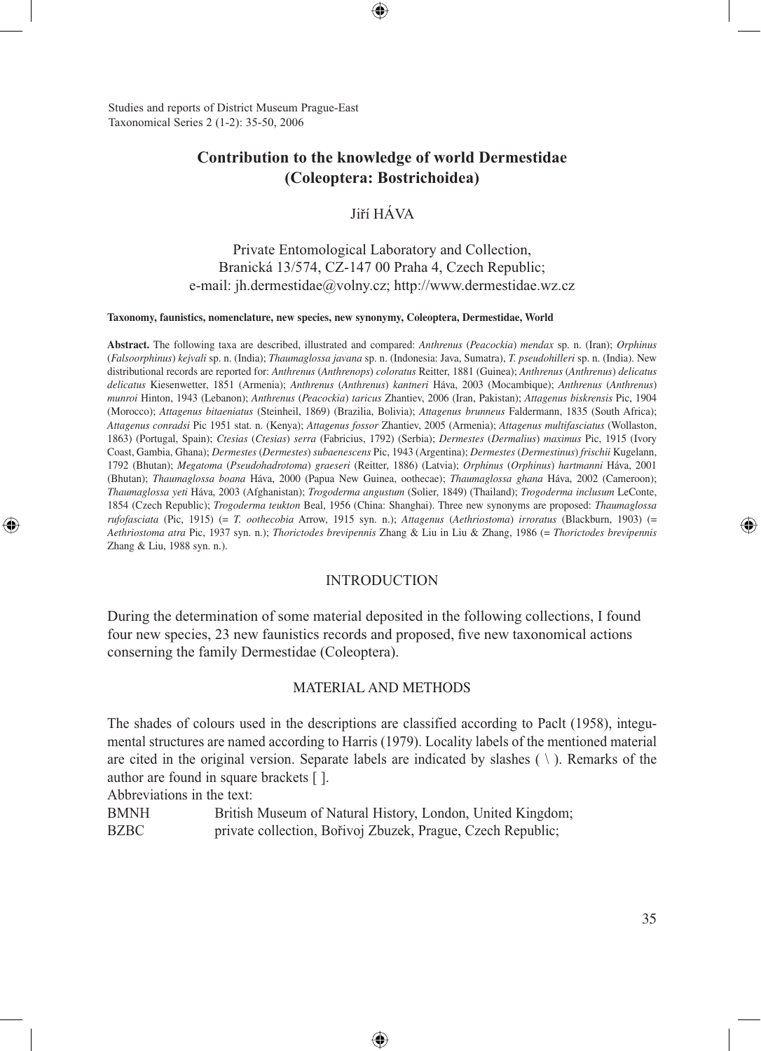Studies and reports of District Museum Prague-East Taxonomical Series 2 (1-2): 35-50, 2006

# **Contribution to the knowledge of world Dermestidae (Coleoptera: Bostrichoidea)**

⊕

# Jiří HÁVA

# Private Entomological Laboratory and Collection, Branická 13/574, CZ-147 00 Praha 4, Czech Republic; e-mail: jh.dermestidae@volny.cz; http://www.dermestidae.wz.cz

#### **Taxonomy, faunistics, nomenclature, new species, new synonymy, Coleoptera, Dermestidae, World**

**Abstract.** The following taxa are described, illustrated and compared: *Anthrenus* (*Peacockia*) *mendax* sp. n. (Iran); *Orphinus* (*Falsoorphinus*) *kejvali* sp. n. (India); *Thaumaglossa javana* sp. n. (Indonesia: Java, Sumatra), *T. pseudohilleri* sp. n. (India). New distributional records are reported for: *Anthrenus* (*Anthrenops*) *coloratus* Reitter, 1881 (Guinea); *Anthrenus* (*Anthrenus*) *delicatus delicatus* Kiesenwetter, 1851 (Armenia); *Anthrenus* (*Anthrenus*) *kantneri* Háva, 2003 (Mocambique); *Anthrenus* (*Anthrenus*) *munroi* Hinton, 1943 (Lebanon); *Anthrenus* (*Peacockia*) *taricus* Zhantiev, 2006 (Iran, Pakistan); *Attagenus biskrensis* Pic, 1904 (Morocco); *Attagenus bitaeniatus* (Steinheil, 1869) (Brazilia, Bolivia); *Attagenus brunneus* Faldermann, 1835 (South Africa); *Attagenus conradsi* Pic 1951 stat. n. (Kenya); *Attagenus fossor* Zhantiev, 2005 (Armenia); *Attagenus multifasciatus* (Wollaston, 1863) (Portugal, Spain); *Ctesias* (*Ctesias*) *serra* (Fabricius, 1792) (Serbia); *Dermestes* (*Dermalius*) *maximus* Pic, 1915 (Ivory Coast, Gambia, Ghana); *Dermestes* (*Dermestes*) *subaenescens* Pic, 1943 (Argentina); *Dermestes* (*Dermestinus*) *frischii* Kugelann, 1792 (Bhutan); *Megatoma* (*Pseudohadrotoma*) *graeseri* (Reitter, 1886) (Latvia); *Orphinus* (*Orphinus*) *hartmanni* Háva, 2001 (Bhutan); *Thaumaglossa boana* Háva, 2000 (Papua New Guinea, oothecae); *Thaumaglossa ghana* Háva, 2002 (Cameroon); *Thaumaglossa yeti* Háva, 2003 (Afghanistan); *Trogoderma angustum* (Solier, 1849) (Thailand); *Trogoderma inclusum* LeConte, 1854 (Czech Republic); *Trogoderma teukton* Beal, 1956 (China: Shanghai). Three new synonyms are proposed: *Thaumaglossa rufofasciata* (Pic, 1915) (= *T. oothecobia* Arrow, 1915 syn. n.); *Attagenus* (*Aethriostoma*) *irroratus* (Blackburn, 1903) (= *Aethriostoma atra* Pic, 1937 syn. n.); *Thorictodes brevipennis* Zhang & Liu in Liu & Zhang, 1986 (= *Thorictodes brevipennis* Zhang & Liu, 1988 syn. n.).

#### INTRODUCTION

During the determination of some material deposited in the following collections, I found four new species, 23 new faunistics records and proposed, five new taxonomical actions conserning the family Dermestidae (Coleoptera).

#### MATERIAL AND METHODS

The shades of colours used in the descriptions are classified according to Paclt (1958), integumental structures are named according to Harris (1979). Locality labels of the mentioned material are cited in the original version. Separate labels are indicated by slashes ( \ ). Remarks of the author are found in square brackets [ ].

⊕

Abbreviations in the text:

⊕

| <b>BMNH</b> | British Museum of Natural History, London, United Kingdom;  |
|-------------|-------------------------------------------------------------|
| <b>BZBC</b> | private collection, Bořivoj Zbuzek, Prague, Czech Republic; |

◈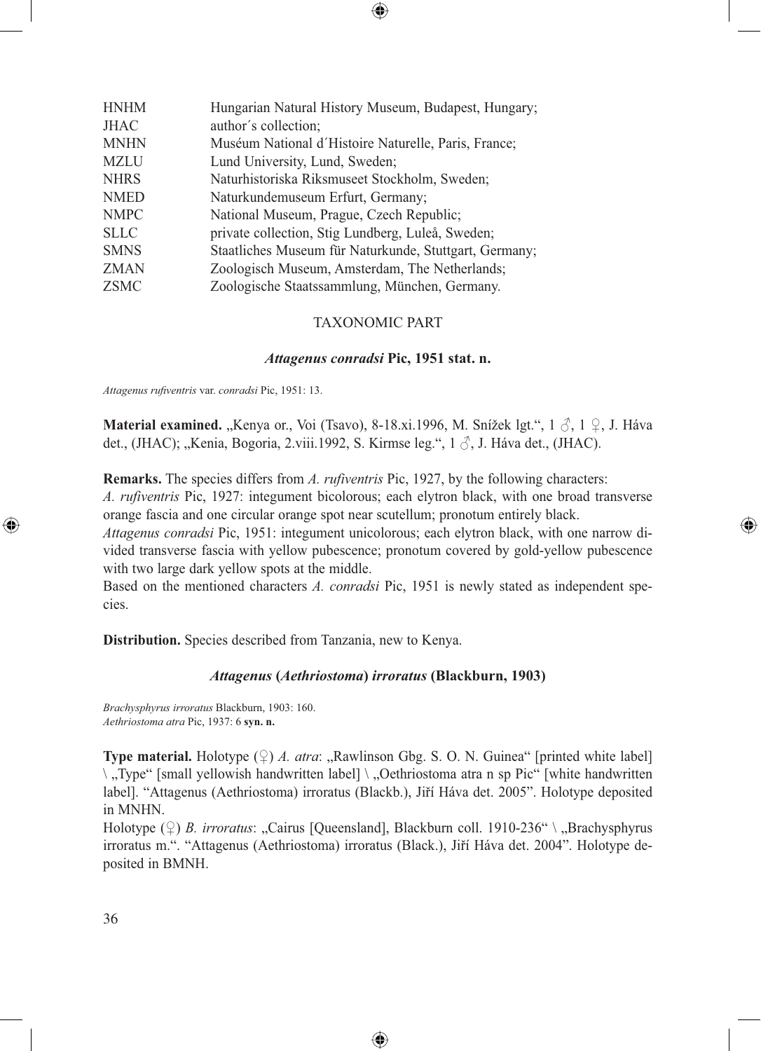| <b>HNHM</b> | Hungarian Natural History Museum, Budapest, Hungary;   |
|-------------|--------------------------------------------------------|
| <b>JHAC</b> | author's collection;                                   |
| <b>MNHN</b> | Muséum National d'Histoire Naturelle, Paris, France;   |
| <b>MZLU</b> | Lund University, Lund, Sweden;                         |
| <b>NHRS</b> | Naturhistoriska Riksmuseet Stockholm, Sweden;          |
| <b>NMED</b> | Naturkundemuseum Erfurt, Germany;                      |
| <b>NMPC</b> | National Museum, Prague, Czech Republic;               |
| <b>SLLC</b> | private collection, Stig Lundberg, Luleå, Sweden;      |
| <b>SMNS</b> | Staatliches Museum für Naturkunde, Stuttgart, Germany; |
| <b>ZMAN</b> | Zoologisch Museum, Amsterdam, The Netherlands;         |
| <b>ZSMC</b> | Zoologische Staatssammlung, München, Germany.          |

# TAXONOMIC PART

⊕

#### *Attagenus conradsi* **Pic, 1951 stat. n.**

*Attagenus rufiventris* var. *conradsi* Pic, 1951: 13.

**Material examined.** "Kenya or., Voi (Tsavo), 8-18.xi.1996, M. Snížek lgt.",  $1 \circ$ ,  $\uparrow$ , J. Háva det., (JHAC); "Kenia, Bogoria, 2.viii.1992, S. Kirmse leg.", 1  $\Diamond$ , J. Háva det., (JHAC).

**Remarks.** The species differs from *A. rufiventris* Pic, 1927, by the following characters:

*A. rufiventris* Pic, 1927: integument bicolorous; each elytron black, with one broad transverse orange fascia and one circular orange spot near scutellum; pronotum entirely black.

⊕

*Attagenus conradsi* Pic, 1951: integument unicolorous; each elytron black, with one narrow divided transverse fascia with yellow pubescence; pronotum covered by gold-yellow pubescence with two large dark yellow spots at the middle.

Based on the mentioned characters *A. conradsi* Pic, 1951 is newly stated as independent species.

**Distribution.** Species described from Tanzania, new to Kenya.

#### *Attagenus* **(***Aethriostoma***)** *irroratus* **(Blackburn, 1903)**

*Brachysphyrus irroratus* Blackburn, 1903: 160. *Aethriostoma atra* Pic, 1937: 6 **syn. n.**

**Type material.** Holotype  $(\varphi)$  *A. atra*: "Rawlinson Gbg. S. O. N. Guinea" [printed white label] \,Type" [small yellowish handwritten label] \, Oethriostoma atra n sp Pic" [white handwritten label]. "Attagenus (Aethriostoma) irroratus (Blackb.), Jiří Háva det. 2005". Holotype deposited in MNHN.

Holotype (♀) *B. irroratus*: "Cairus [Queensland], Blackburn coll. 1910-236" \ "Brachysphyrus irroratus m.". "Attagenus (Aethriostoma) irroratus (Black.), Jiří Háva det. 2004". Holotype deposited in BMNH.

⊕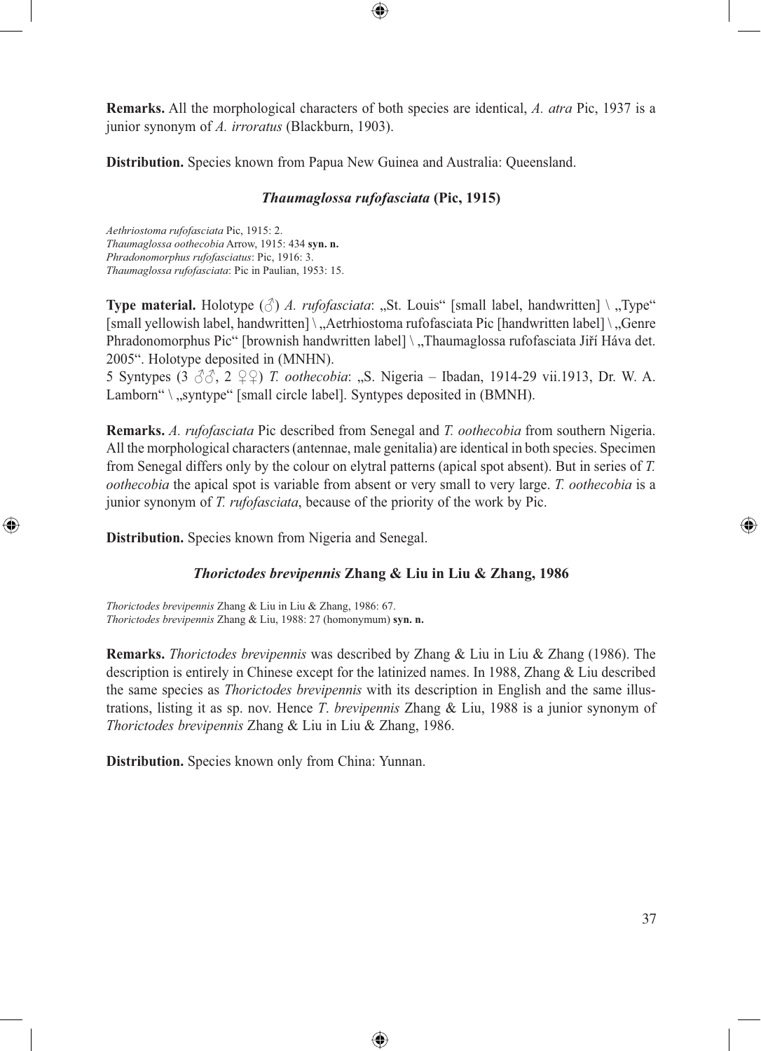**Remarks.** All the morphological characters of both species are identical, *A. atra* Pic, 1937 is a junior synonym of *A. irroratus* (Blackburn, 1903).

⊕

**Distribution.** Species known from Papua New Guinea and Australia: Queensland.

## *Thaumaglossa rufofasciata* **(Pic, 1915)**

*Aethriostoma rufofasciata* Pic, 1915: 2. *Thaumaglossa oothecobia* Arrow, 1915: 434 **syn. n.** *Phradonomorphus rufofasciatus*: Pic, 1916: 3. *Thaumaglossa rufofasciata*: Pic in Paulian, 1953: 15.

**Type material.** Holotype  $(\triangle)$  *A. rufofasciata*: "St. Louis" [small label, handwritten] \ "Type" [small yellowish label, handwritten] \, Aetrhiostoma rufofasciata Pic [handwritten label] \, Genre Phradonomorphus Pic" [brownish handwritten label] \ "Thaumaglossa rufofasciata Jiří Háva det. 2005". Holotype deposited in (MNHN).

5 Syntypes (3 ♂♂, 2 ♀♀) *T. oothecobia*: "S. Nigeria – Ibadan, 1914-29 vii.1913, Dr. W. A. Lamborn" \, syntype" [small circle label]. Syntypes deposited in (BMNH).

**Remarks.** *A. rufofasciata* Pic described from Senegal and *T. oothecobia* from southern Nigeria. All the morphological characters (antennae, male genitalia) are identical in both species. Specimen from Senegal differs only by the colour on elytral patterns (apical spot absent). But in series of *T. oothecobia* the apical spot is variable from absent or very small to very large. *T. oothecobia* is a junior synonym of *T. rufofasciata*, because of the priority of the work by Pic.

**Distribution.** Species known from Nigeria and Senegal.

⊕

#### *Thorictodes brevipennis* **Zhang & Liu in Liu & Zhang, 1986**

*Thorictodes brevipennis* Zhang & Liu in Liu & Zhang, 1986: 67. *Thorictodes brevipennis* Zhang & Liu, 1988: 27 (homonymum) **syn. n.**

**Remarks.** *Thorictodes brevipennis* was described by Zhang & Liu in Liu & Zhang (1986). The description is entirely in Chinese except for the latinized names. In 1988, Zhang & Liu described the same species as *Thorictodes brevipennis* with its description in English and the same illustrations, listing it as sp. nov. Hence *T*. *brevipennis* Zhang & Liu, 1988 is a junior synonym of *Thorictodes brevipennis* Zhang & Liu in Liu & Zhang, 1986.

⊕

**Distribution.** Species known only from China: Yunnan.

◈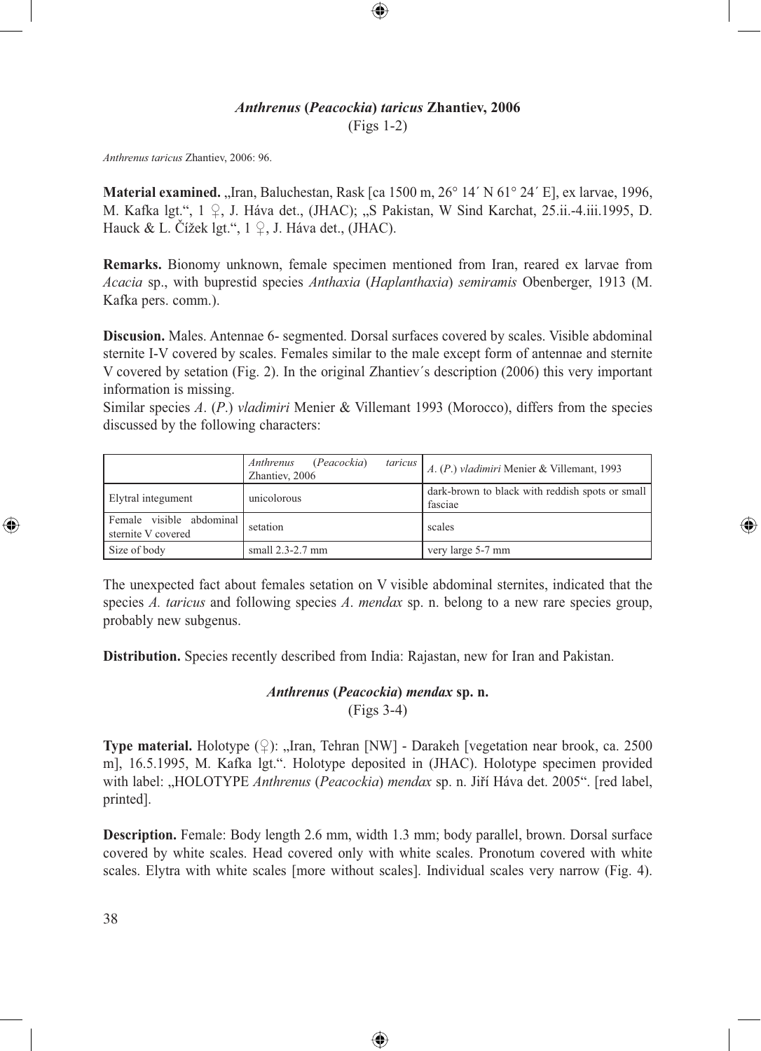# *Anthrenus* **(***Peacockia***)** *taricus* **Zhantiev, 2006**  (Figs 1-2)

⊕

*Anthrenus taricus* Zhantiev, 2006: 96.

**Material examined.** "Iran, Baluchestan, Rask [ca 1500 m, 26° 14′ N 61° 24′ E], ex larvae, 1996, M. Kafka lgt.", 1 ♀, J. Háva det., (JHAC); "S Pakistan, W Sind Karchat, 25.ii.-4.iii.1995, D. Hauck & L. Čížek lgt.",  $1 \nsubseteq I$ , J. Háva det., (JHAC).

**Remarks.** Bionomy unknown, female specimen mentioned from Iran, reared ex larvae from *Acacia* sp., with buprestid species *Anthaxia* (*Haplanthaxia*) *semiramis* Obenberger, 1913 (M. Kafka pers. comm.).

**Discusion.** Males. Antennae 6- segmented. Dorsal surfaces covered by scales. Visible abdominal sternite I-V covered by scales. Females similar to the male except form of antennae and sternite V covered by setation (Fig. 2). In the original Zhantiev´s description (2006) this very important information is missing.

Similar species *A*. (*P*.) *vladimiri* Menier & Villemant 1993 (Morocco), differs from the species discussed by the following characters:

|                                                | (Peacockia)<br>taricus  <br>Anthrenus<br>Zhantiev, 2006 | A. (P.) vladimiri Menier & Villemant, 1993                 |
|------------------------------------------------|---------------------------------------------------------|------------------------------------------------------------|
| Elytral integument                             | unicolorous                                             | dark-brown to black with reddish spots or small<br>fasciae |
| Female visible abdominal<br>sternite V covered | setation                                                | scales                                                     |
| Size of body                                   | small $2.3 - 2.7$ mm                                    | very large 5-7 mm                                          |

⊕

The unexpected fact about females setation on V visible abdominal sternites, indicated that the species *A. taricus* and following species *A*. *mendax* sp. n. belong to a new rare species group, probably new subgenus.

**Distribution.** Species recently described from India: Rajastan, new for Iran and Pakistan.

# *Anthrenus* **(***Peacockia***)** *mendax* **sp. n.** (Figs 3-4)

**Type material.** Holotype  $(\mathcal{Q})$ : "Iran, Tehran [NW] - Darakeh [vegetation near brook, ca. 2500] m], 16.5.1995, M. Kafka lgt.". Holotype deposited in (JHAC). Holotype specimen provided with label: "HOLOTYPE Anthrenus (Peacockia) mendax sp. n. Jiří Háva det. 2005". [red label, printed].

**Description.** Female: Body length 2.6 mm, width 1.3 mm; body parallel, brown. Dorsal surface covered by white scales. Head covered only with white scales. Pronotum covered with white scales. Elytra with white scales [more without scales]. Individual scales very narrow (Fig. 4).

⊕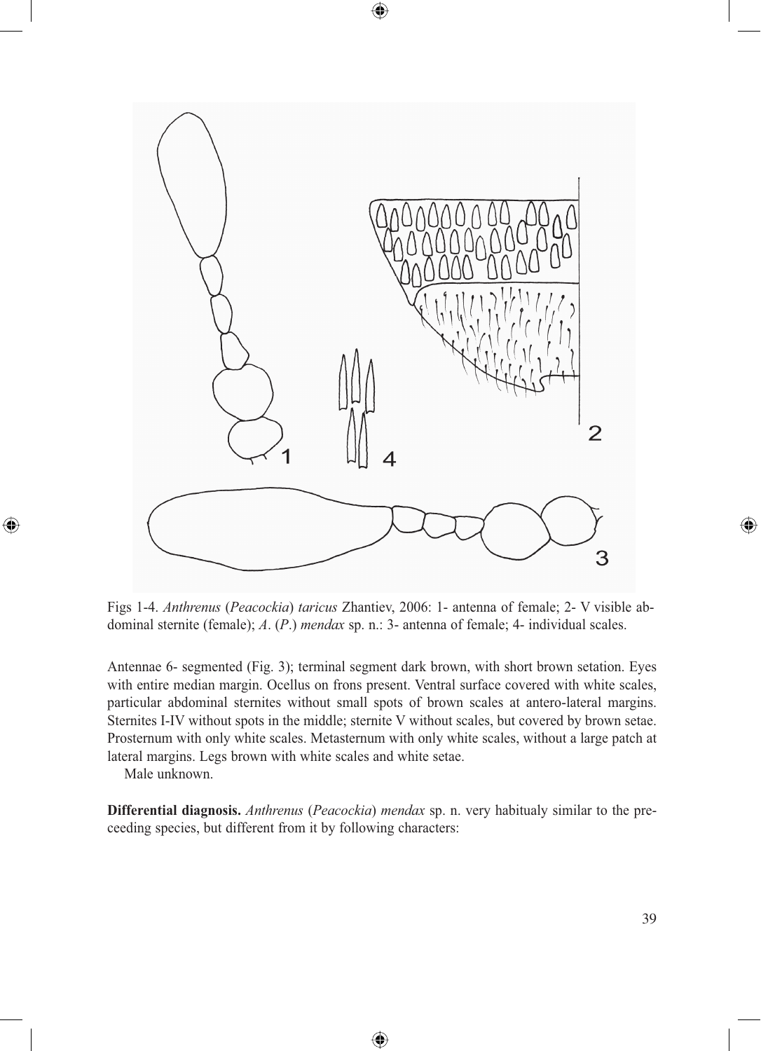

⊕

Figs 1-4. *Anthrenus* (*Peacockia*) *taricus* Zhantiev, 2006: 1- antenna of female; 2- V visible abdominal sternite (female); *A*. (*P*.) *mendax* sp. n.: 3- antenna of female; 4- individual scales.

Antennae 6- segmented (Fig. 3); terminal segment dark brown, with short brown setation. Eyes with entire median margin. Ocellus on frons present. Ventral surface covered with white scales, particular abdominal sternites without small spots of brown scales at antero-lateral margins. Sternites I-IV without spots in the middle; sternite V without scales, but covered by brown setae. Prosternum with only white scales. Metasternum with only white scales, without a large patch at lateral margins. Legs brown with white scales and white setae.

Male unknown.

⊕

**Differential diagnosis.** *Anthrenus* (*Peacockia*) *mendax* sp. n. very habitualy similar to the preceeding species, but different from it by following characters:

⊕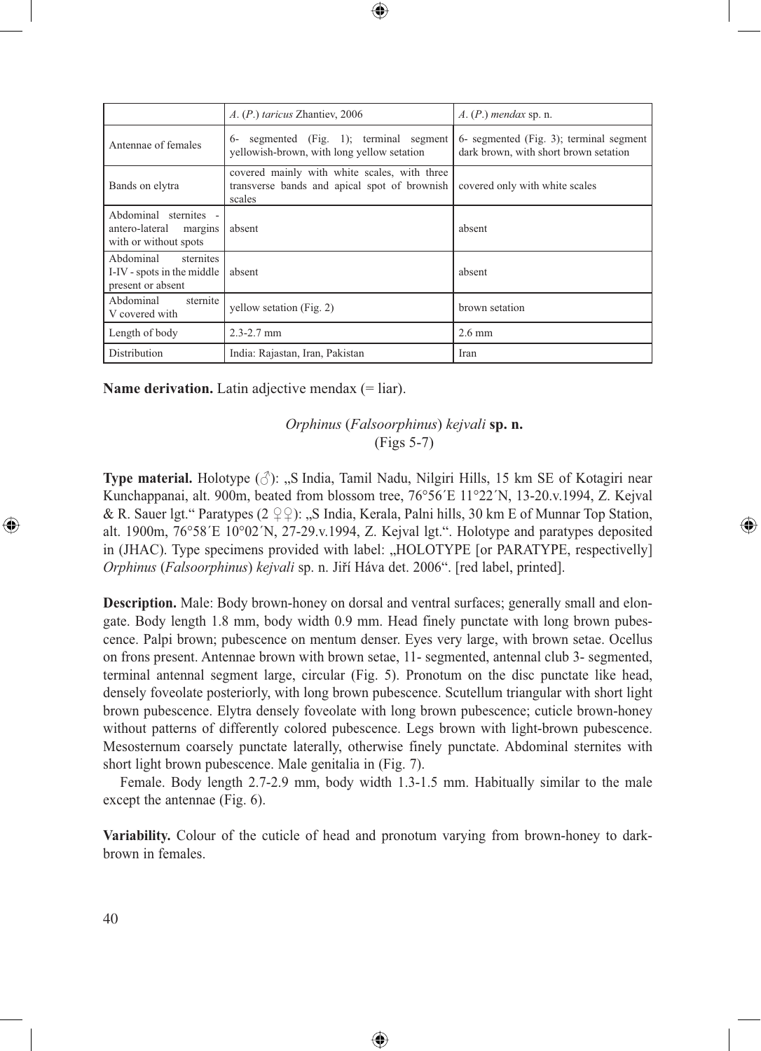|                                                                          | A. (P.) taricus Zhantiev, 2006                                                                         | $A. (P.)$ mendax sp. n.                                                          |
|--------------------------------------------------------------------------|--------------------------------------------------------------------------------------------------------|----------------------------------------------------------------------------------|
| Antennae of females                                                      | segmented (Fig. 1); terminal segment<br>$6-$<br>vellowish-brown, with long yellow setation             | 6- segmented (Fig. 3); terminal segment<br>dark brown, with short brown setation |
| Bands on elytra                                                          | covered mainly with white scales, with three<br>transverse bands and apical spot of brownish<br>scales | covered only with white scales                                                   |
| Abdominal sternites -<br>antero-lateral margins<br>with or without spots | absent                                                                                                 | absent                                                                           |
| Abdominal sternites<br>I-IV - spots in the middle<br>present or absent   | absent                                                                                                 | absent                                                                           |
| Abdominal<br>sternite<br>V covered with                                  | yellow setation (Fig. 2)                                                                               | brown setation                                                                   |
| Length of body                                                           | $2.3 - 2.7$ mm                                                                                         | $2.6 \text{ mm}$                                                                 |
| Distribution                                                             | India: Rajastan, Iran, Pakistan                                                                        | Iran                                                                             |

 $\bigcirc \hspace{-1.4mm} \bigcirc$ 

**Name derivation.** Latin adjective mendax (= liar).

# *Orphinus* (*Falsoorphinus*) *kejvali* **sp. n.** (Figs 5-7)

⊕

**Type material.** Holotype  $(\Diamond)$ : "S India, Tamil Nadu, Nilgiri Hills, 15 km SE of Kotagiri near Kunchappanai, alt. 900m, beated from blossom tree, 76°56´E 11°22´N, 13-20.v.1994, Z. Kejval & R. Sauer lgt." Paratypes (2  $\mathcal{Q} \mathcal{Q}$ ): "S India, Kerala, Palni hills, 30 km E of Munnar Top Station, alt. 1900m, 76°58´E 10°02´N, 27-29.v.1994, Z. Kejval lgt.". Holotype and paratypes deposited in (JHAC). Type specimens provided with label: "HOLOTYPE [or PARATYPE, respectivelly] *Orphinus* (*Falsoorphinus*) *kejvali* sp. n. Jiří Háva det. 2006". [red label, printed].

**Description.** Male: Body brown-honey on dorsal and ventral surfaces; generally small and elongate. Body length 1.8 mm, body width 0.9 mm. Head finely punctate with long brown pubescence. Palpi brown; pubescence on mentum denser. Eyes very large, with brown setae. Ocellus on frons present. Antennae brown with brown setae, 11- segmented, antennal club 3- segmented, terminal antennal segment large, circular (Fig. 5). Pronotum on the disc punctate like head, densely foveolate posteriorly, with long brown pubescence. Scutellum triangular with short light brown pubescence. Elytra densely foveolate with long brown pubescence; cuticle brown-honey without patterns of differently colored pubescence. Legs brown with light-brown pubescence. Mesosternum coarsely punctate laterally, otherwise finely punctate. Abdominal sternites with short light brown pubescence. Male genitalia in (Fig. 7).

Female. Body length 2.7-2.9 mm, body width 1.3-1.5 mm. Habitually similar to the male except the antennae (Fig. 6).

**Variability.** Colour of the cuticle of head and pronotum varying from brown-honey to darkbrown in females.

⊕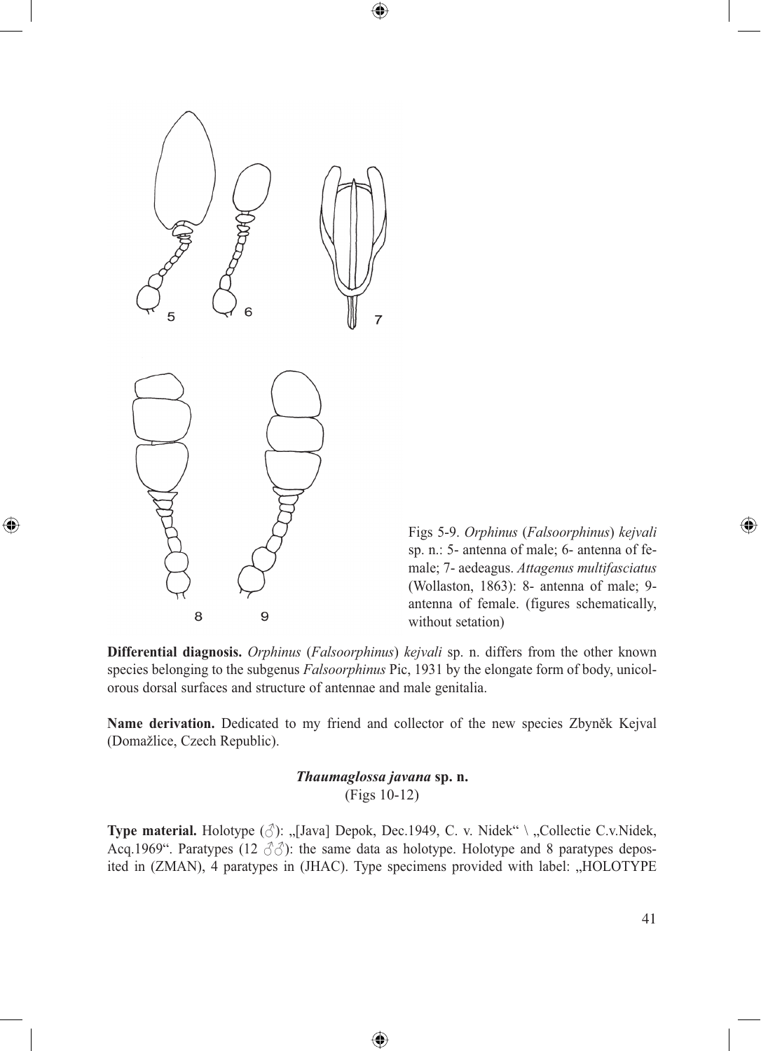6 5  $\overline{7}$ 

8

9

 $\bigcirc$ 

Figs 5-9. *Orphinus* (*Falsoorphinus*) *kejvali* sp. n.: 5- antenna of male; 6- antenna of female; 7- aedeagus. *Attagenus multifasciatus* (Wollaston, 1863): 8- antenna of male; 9 antenna of female. (figures schematically, without setation)

**Differential diagnosis.** *Orphinus* (*Falsoorphinus*) *kejvali* sp. n. differs from the other known species belonging to the subgenus *Falsoorphinus* Pic, 1931 by the elongate form of body, unicolorous dorsal surfaces and structure of antennae and male genitalia.

 $\bigcirc\hspace{-1.4mm}\bigcirc$ 

**Name derivation.** Dedicated to my friend and collector of the new species Zbyněk Kejval (Domažlice, Czech Republic).

> *Thaumaglossa javana* **sp. n.** (Figs 10-12)

**Type material.** Holotype ( $\circlearrowleft$ ): "[Java] Depok, Dec.1949, C. v. Nidek" \ "Collectie C.v.Nidek, Acq.1969". Paratypes (12  $\partial \partial$ ): the same data as holotype. Holotype and 8 paratypes deposited in (ZMAN), 4 paratypes in (JHAC). Type specimens provided with label: "HOLOTYPE

⊕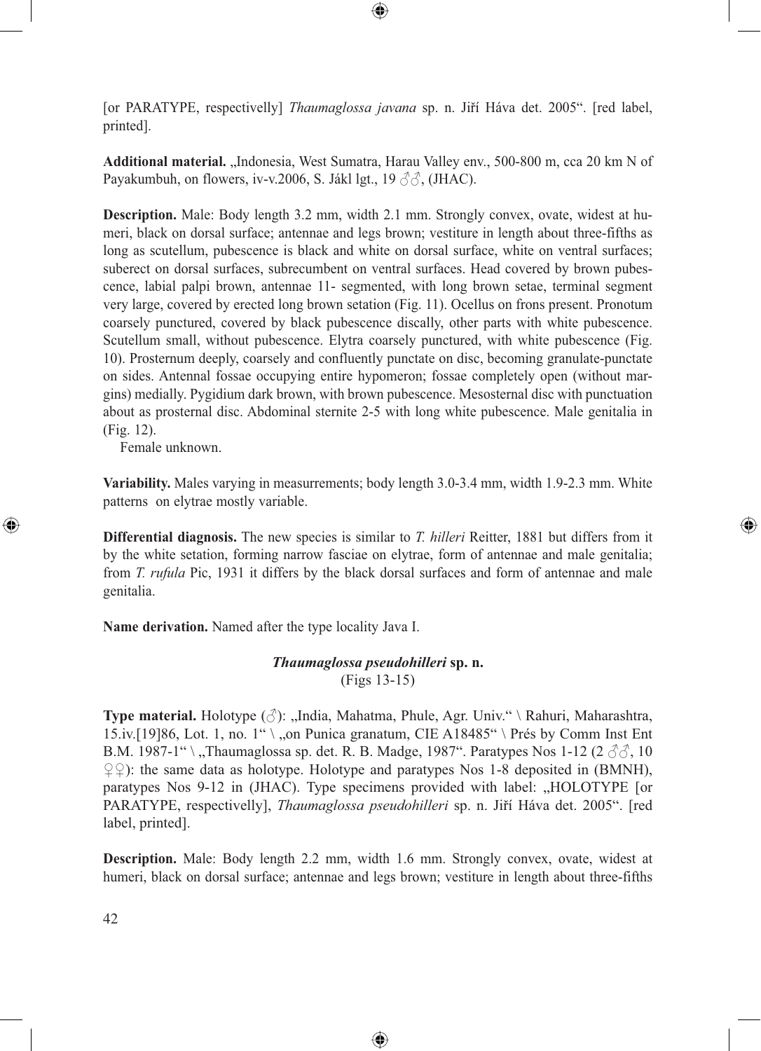[or PARATYPE, respectivelly] *Thaumaglossa javana* sp. n. Jiří Háva det. 2005". [red label, printed].

⊕

Additional material. "Indonesia, West Sumatra, Harau Valley env., 500-800 m, cca 20 km N of Payakumbuh, on flowers, iv-v.2006, S. Jákl lgt., 19 33, (JHAC).

**Description.** Male: Body length 3.2 mm, width 2.1 mm. Strongly convex, ovate, widest at humeri, black on dorsal surface; antennae and legs brown; vestiture in length about three-fifths as long as scutellum, pubescence is black and white on dorsal surface, white on ventral surfaces; suberect on dorsal surfaces, subrecumbent on ventral surfaces. Head covered by brown pubescence, labial palpi brown, antennae 11- segmented, with long brown setae, terminal segment very large, covered by erected long brown setation (Fig. 11). Ocellus on frons present. Pronotum coarsely punctured, covered by black pubescence discally, other parts with white pubescence. Scutellum small, without pubescence. Elytra coarsely punctured, with white pubescence (Fig. 10). Prosternum deeply, coarsely and confluently punctate on disc, becoming granulate-punctate on sides. Antennal fossae occupying entire hypomeron; fossae completely open (without margins) medially. Pygidium dark brown, with brown pubescence. Mesosternal disc with punctuation about as prosternal disc. Abdominal sternite 2-5 with long white pubescence. Male genitalia in (Fig. 12).

Female unknown.

⊕

**Variability.** Males varying in measurrements; body length 3.0-3.4 mm, width 1.9-2.3 mm. White patterns on elytrae mostly variable.

⊕

**Differential diagnosis.** The new species is similar to *T. hilleri* Reitter, 1881 but differs from it by the white setation, forming narrow fasciae on elytrae, form of antennae and male genitalia; from *T. rufula* Pic, 1931 it differs by the black dorsal surfaces and form of antennae and male genitalia.

**Name derivation.** Named after the type locality Java I.

# *Thaumaglossa pseudohilleri* **sp. n.** (Figs 13-15)

**Type material.** Holotype ( $\triangle$ ): "India, Mahatma, Phule, Agr. Univ." \ Rahuri, Maharashtra, 15.iv.[19]86, Lot. 1, no. 1" \,,on Punica granatum, CIE A18485" \ Prés by Comm Inst Ent B.M. 1987-1" \,,Thaumaglossa sp. det. R. B. Madge, 1987". Paratypes Nos 1-12 (2  $\Im$  $\Im$ , 10  $\mathcal{L}(\mathcal{L})$ : the same data as holotype. Holotype and paratypes Nos 1-8 deposited in (BMNH), paratypes Nos 9-12 in (JHAC). Type specimens provided with label: "HOLOTYPE [or PARATYPE, respectivelly], *Thaumaglossa pseudohilleri* sp. n. Jiří Háva det. 2005". [red label, printed].

**Description.** Male: Body length 2.2 mm, width 1.6 mm. Strongly convex, ovate, widest at humeri, black on dorsal surface; antennae and legs brown; vestiture in length about three-fifths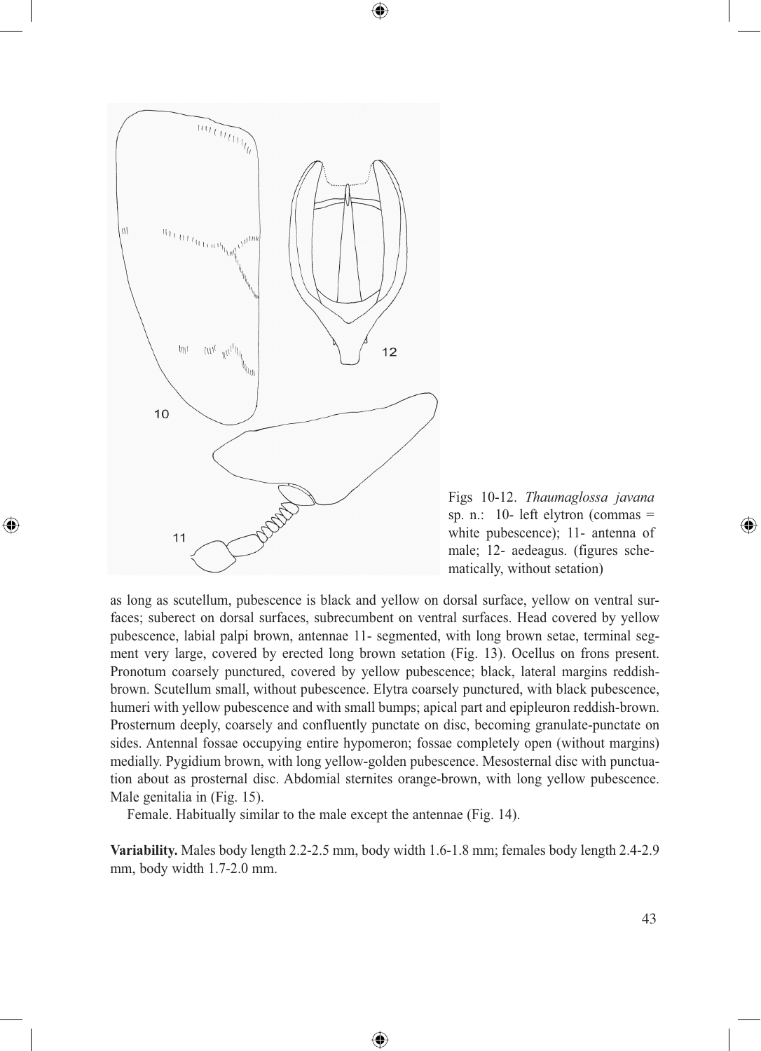

⊕



as long as scutellum, pubescence is black and yellow on dorsal surface, yellow on ventral surfaces; suberect on dorsal surfaces, subrecumbent on ventral surfaces. Head covered by yellow pubescence, labial palpi brown, antennae 11- segmented, with long brown setae, terminal segment very large, covered by erected long brown setation (Fig. 13). Ocellus on frons present. Pronotum coarsely punctured, covered by yellow pubescence; black, lateral margins reddishbrown. Scutellum small, without pubescence. Elytra coarsely punctured, with black pubescence, humeri with yellow pubescence and with small bumps; apical part and epipleuron reddish-brown. Prosternum deeply, coarsely and confluently punctate on disc, becoming granulate-punctate on sides. Antennal fossae occupying entire hypomeron; fossae completely open (without margins) medially. Pygidium brown, with long yellow-golden pubescence. Mesosternal disc with punctuation about as prosternal disc. Abdomial sternites orange-brown, with long yellow pubescence. Male genitalia in (Fig. 15).

 $\bigcirc$ 

Female. Habitually similar to the male except the antennae (Fig. 14).

**Variability.** Males body length 2.2-2.5 mm, body width 1.6-1.8 mm; females body length 2.4-2.9 mm, body width 1.7-2.0 mm.

⊕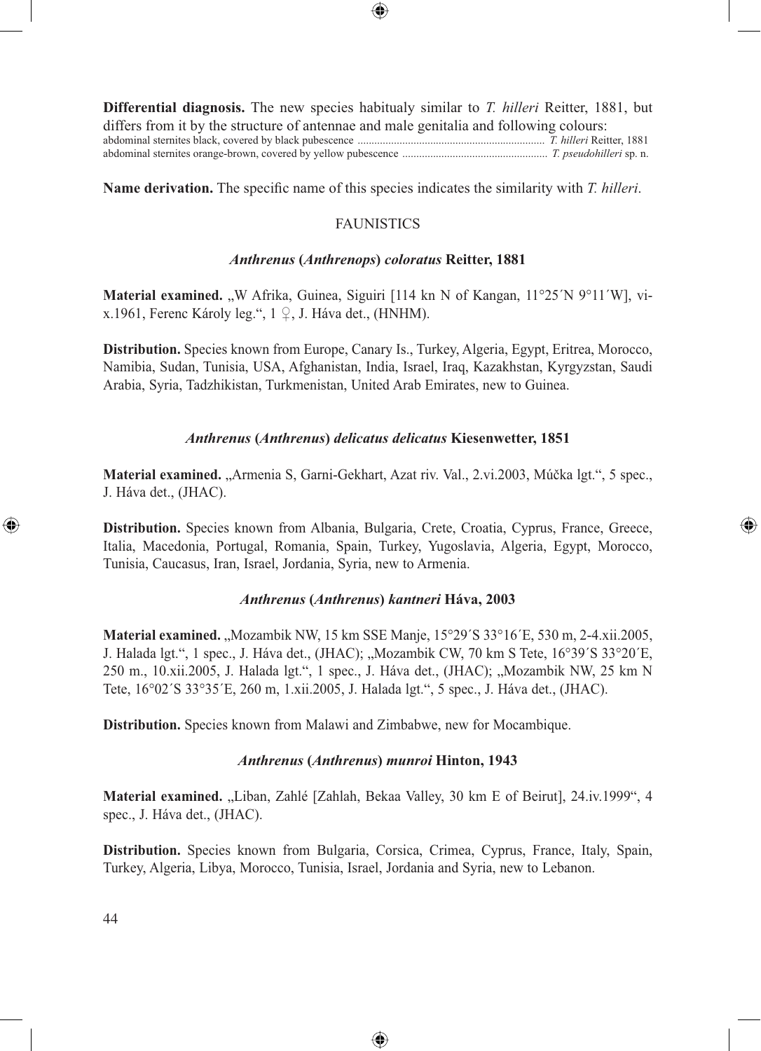

**Differential diagnosis.** The new species habitualy similar to *T. hilleri* Reitter, 1881, but differs from it by the structure of antennae and male genitalia and following colours: abdominal sternites black, covered by black pubescence ................................................................... *T. hilleri* Reitter, 1881 abdominal sternites orange-brown, covered by yellow pubescence .................................................... *T. pseudohilleri* sp. n.

**Name derivation.** The specific name of this species indicates the similarity with *T. hilleri*.

## FAUNISTICS

#### *Anthrenus* **(***Anthrenops***)** *coloratus* **Reitter, 1881**

**Material examined.** "W Afrika, Guinea, Siguiri [114 kn N of Kangan, 11°25´N 9°11´W], vix.1961, Ferenc Károly leg.", 1 ♀, J. Háva det., (HNHM).

**Distribution.** Species known from Europe, Canary Is., Turkey, Algeria, Egypt, Eritrea, Morocco, Namibia, Sudan, Tunisia, USA, Afghanistan, India, Israel, Iraq, Kazakhstan, Kyrgyzstan, Saudi Arabia, Syria, Tadzhikistan, Turkmenistan, United Arab Emirates, new to Guinea.

### *Anthrenus* **(***Anthrenus***)** *delicatus delicatus* **Kiesenwetter, 1851**

**Material examined.** "Armenia S, Garni-Gekhart, Azat riv. Val., 2.vi.2003, Múčka lgt.", 5 spec., J. Háva det., (JHAC).

**Distribution.** Species known from Albania, Bulgaria, Crete, Croatia, Cyprus, France, Greece, Italia, Macedonia, Portugal, Romania, Spain, Turkey, Yugoslavia, Algeria, Egypt, Morocco, Tunisia, Caucasus, Iran, Israel, Jordania, Syria, new to Armenia.

⊕

### *Anthrenus* **(***Anthrenus***)** *kantneri* **Háva, 2003**

**Material examined.** "Mozambik NW, 15 km SSE Manje, 15°29′S 33°16′E, 530 m, 2-4.xii.2005, J. Halada lgt.", 1 spec., J. Háva det., (JHAC); "Mozambik CW, 70 km S Tete, 16°39´S 33°20´E, 250 m., 10.xii.2005, J. Halada lgt.", 1 spec., J. Háva det., (JHAC); "Mozambik NW, 25 km N Tete, 16°02´S 33°35´E, 260 m, 1.xii.2005, J. Halada lgt.", 5 spec., J. Háva det., (JHAC).

**Distribution.** Species known from Malawi and Zimbabwe, new for Mocambique.

#### *Anthrenus* **(***Anthrenus***)** *munroi* **Hinton, 1943**

**Material examined.** "Liban, Zahlé [Zahlah, Bekaa Valley, 30 km E of Beirut], 24.iv.1999", 4 spec., J. Háva det., (JHAC).

**Distribution.** Species known from Bulgaria, Corsica, Crimea, Cyprus, France, Italy, Spain, Turkey, Algeria, Libya, Morocco, Tunisia, Israel, Jordania and Syria, new to Lebanon.

⊕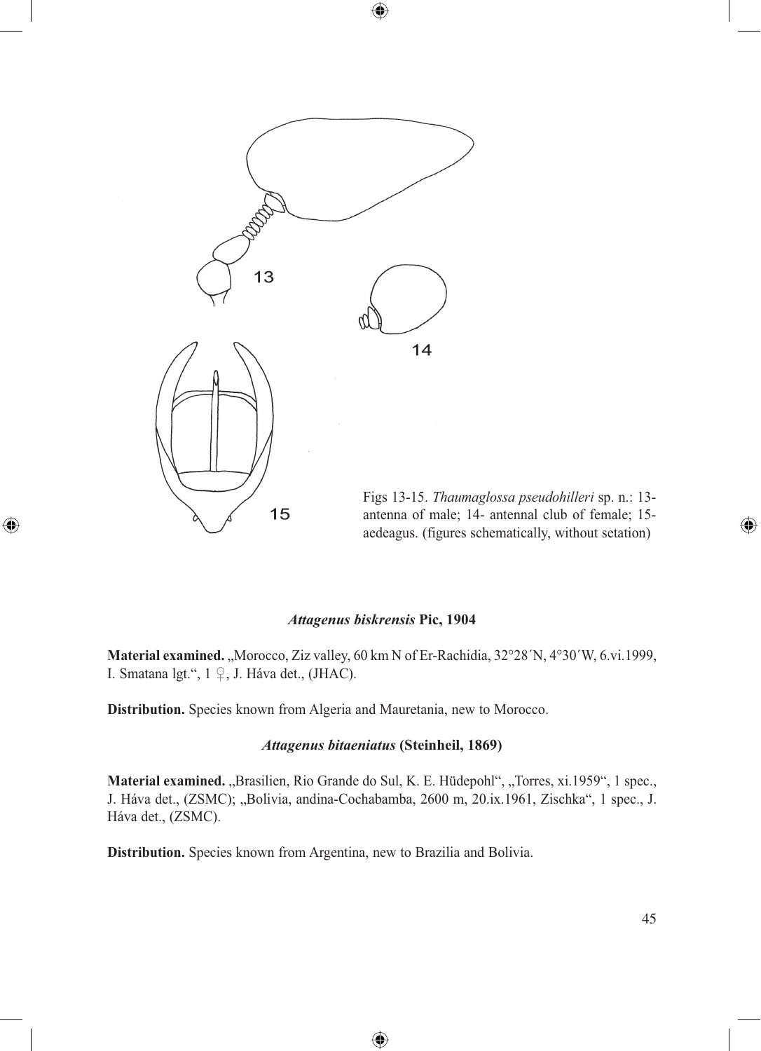

 $\bigcirc$ 

Figs 13-15. *Thaumaglossa pseudohilleri* sp. n.: 13 antenna of male; 14- antennal club of female; 15 aedeagus. (figures schematically, without setation)

#### *Attagenus biskrensis* **Pic, 1904**

 $\bigoplus$ 

**Material examined.** "Morocco, Ziz valley, 60 km N of Er-Rachidia, 32°28′N, 4°30′W, 6.vi.1999, I. Smatana lgt.", 1 ♀, J. Háva det., (JHAC).

**Distribution.** Species known from Algeria and Mauretania, new to Morocco.

#### *Attagenus bitaeniatus* **(Steinheil, 1869)**

**Material examined.** "Brasilien, Rio Grande do Sul, K. E. Hüdepohl", "Torres, xi.1959", 1 spec., J. Háva det., (ZSMC); "Bolivia, andina-Cochabamba, 2600 m, 20.ix.1961, Zischka", 1 spec., J. Háva det., (ZSMC).

⊕

**Distribution.** Species known from Argentina, new to Brazilia and Bolivia.

 $\bigcirc$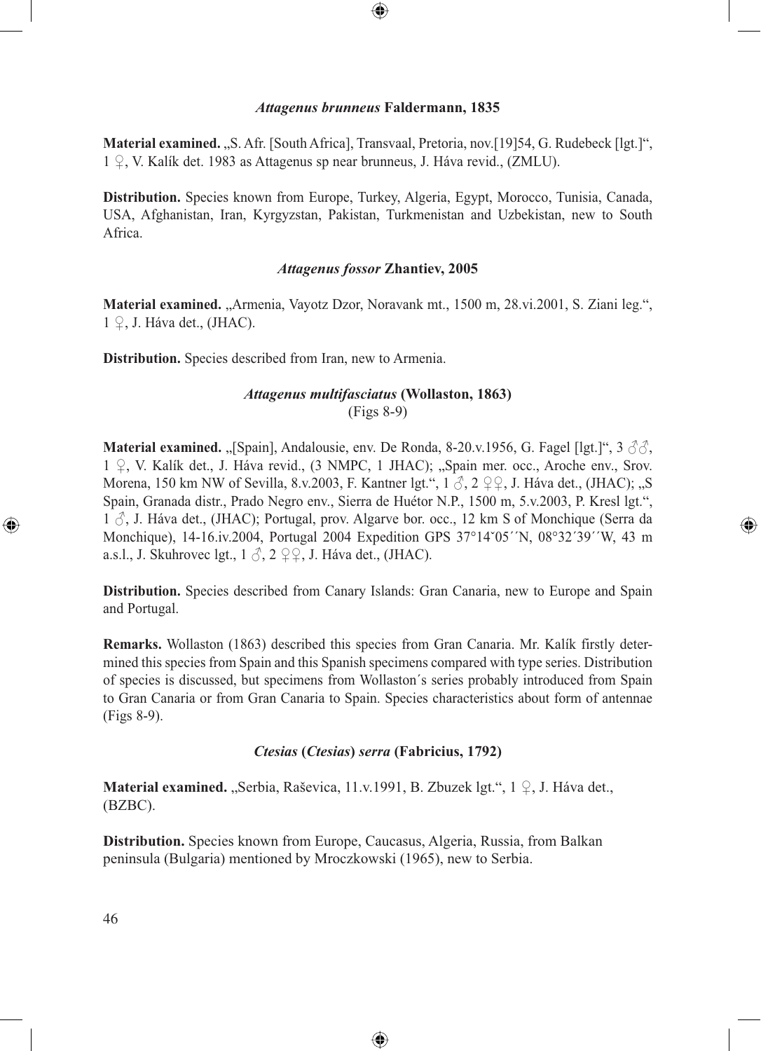## *Attagenus brunneus* **Faldermann, 1835**

⊕

**Material examined.** "S. Afr. [South Africa], Transvaal, Pretoria, nov.[19]54, G. Rudebeck [lgt.]", 1 ♀, V. Kalík det. 1983 as Attagenus sp near brunneus, J. Háva revid., (ZMLU).

**Distribution.** Species known from Europe, Turkey, Algeria, Egypt, Morocco, Tunisia, Canada, USA, Afghanistan, Iran, Kyrgyzstan, Pakistan, Turkmenistan and Uzbekistan, new to South Africa.

## *Attagenus fossor* **Zhantiev, 2005**

**Material examined.** "Armenia, Vayotz Dzor, Noravank mt., 1500 m, 28.vi.2001, S. Ziani leg.",  $1 \nsubseteq$ , J. Háva det., (JHAC).

**Distribution.** Species described from Iran, new to Armenia.

# *Attagenus multifasciatus* **(Wollaston, 1863)** (Figs 8-9)

**Material examined.** "[Spain], Andalousie, env. De Ronda, 8-20.v.1956, G. Fagel [lgt.]", 3  $\partial \partial$ , 1 ♀, V. Kalík det., J. Háva revid., (3 NMPC, 1 JHAC); "Spain mer. occ., Aroche env., Srov. Morena, 150 km NW of Sevilla, 8.v.2003, F. Kantner lgt.",  $1 \circ 3$ ,  $2 \circ 9$ , J. Háva det., (JHAC); "S Spain, Granada distr., Prado Negro env., Sierra de Huétor N.P., 1500 m, 5.v.2003, P. Kresl lgt.",  $1 \circ$ , J. Háva det., (JHAC); Portugal, prov. Algarve bor. occ., 12 km S of Monchique (Serra da Monchique), 14-16.iv.2004, Portugal 2004 Expedition GPS 37°14ˇ05´´N, 08°32´39´´W, 43 m a.s.l., J. Skuhrovec lgt.,  $1 \delta$ ,  $2 \mathcal{Q}, J$ . Háva det., (JHAC).

⊕

**Distribution.** Species described from Canary Islands: Gran Canaria, new to Europe and Spain and Portugal.

**Remarks.** Wollaston (1863) described this species from Gran Canaria. Mr. Kalík firstly determined this species from Spain and this Spanish specimens compared with type series. Distribution of species is discussed, but specimens from Wollaston´s series probably introduced from Spain to Gran Canaria or from Gran Canaria to Spain. Species characteristics about form of antennae (Figs 8-9).

## *Ctesias* **(***Ctesias***)** *serra* **(Fabricius, 1792)**

⊕

**Material examined.** "Serbia, Raševica, 11.v.1991, B. Zbuzek lgt.", 1 ♀, J. Háva det., (BZBC).

**Distribution.** Species known from Europe, Caucasus, Algeria, Russia, from Balkan peninsula (Bulgaria) mentioned by Mroczkowski (1965), new to Serbia.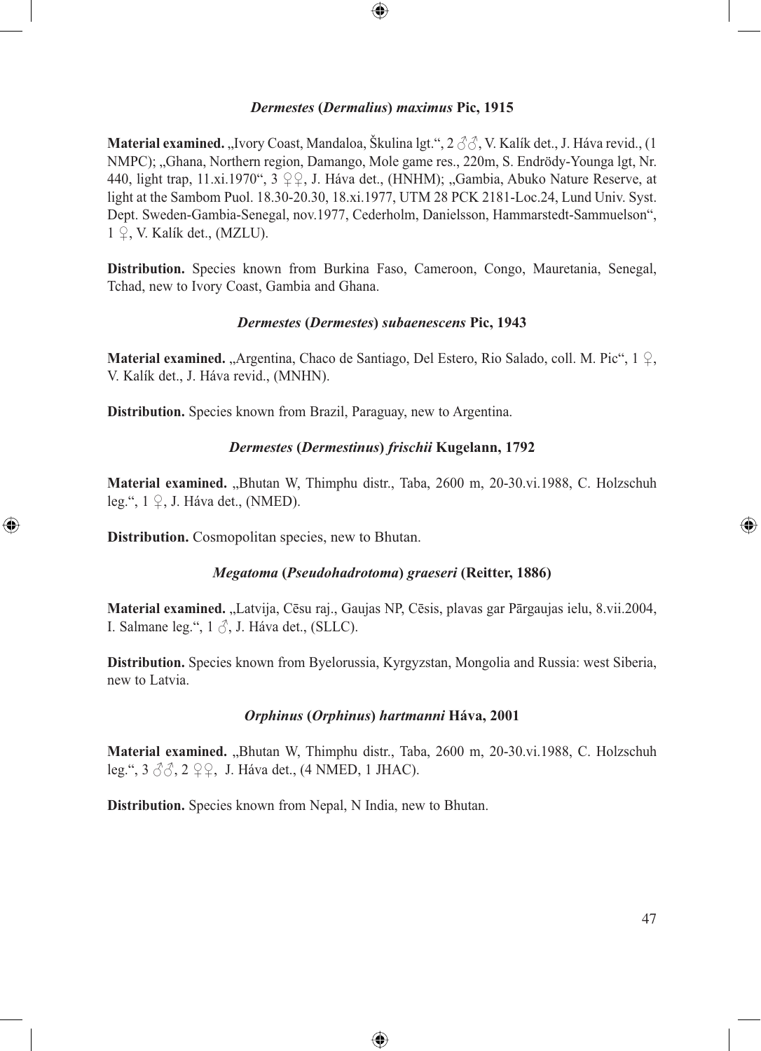

## *Dermestes* **(***Dermalius***)** *maximus* **Pic, 1915**

**Material examined.** "Ivory Coast, Mandaloa, Škulina lgt.", 2 ♂√, V. Kalík det., J. Háva revid., (1 NMPC); "Ghana, Northern region, Damango, Mole game res., 220m, S. Endrödy-Younga lgt, Nr. 440, light trap, 11.xi.1970",  $3 \nsubseteq \mathbb{Q}$ , J. Háva det., (HNHM); "Gambia, Abuko Nature Reserve, at light at the Sambom Puol. 18.30-20.30, 18.xi.1977, UTM 28 PCK 2181-Loc.24, Lund Univ. Syst. Dept. Sweden-Gambia-Senegal, nov.1977, Cederholm, Danielsson, Hammarstedt-Sammuelson",  $1 \nsubseteq$ , V. Kalík det., (MZLU).

**Distribution.** Species known from Burkina Faso, Cameroon, Congo, Mauretania, Senegal, Tchad, new to Ivory Coast, Gambia and Ghana.

### *Dermestes* **(***Dermestes***)** *subaenescens* **Pic, 1943**

**Material examined.** "Argentina, Chaco de Santiago, Del Estero, Rio Salado, coll. M. Pic", 1 ♀, V. Kalík det., J. Háva revid., (MNHN).

**Distribution.** Species known from Brazil, Paraguay, new to Argentina.

### *Dermestes* **(***Dermestinus***)** *frischii* **Kugelann, 1792**

Material examined. "Bhutan W, Thimphu distr., Taba, 2600 m, 20-30.vi.1988, C. Holzschuh leg.", 1 ♀, J. Háva det., (NMED).

**Distribution.** Cosmopolitan species, new to Bhutan.

⊕

#### *Megatoma* **(***Pseudohadrotoma***)** *graeseri* **(Reitter, 1886)**

Material examined. "Latvija, Cēsu raj., Gaujas NP, Cēsis, plavas gar Pārgaujas ielu, 8.vii.2004, I. Salmane leg.",  $1 \circ$ , J. Háva det., (SLLC).

**Distribution.** Species known from Byelorussia, Kyrgyzstan, Mongolia and Russia: west Siberia, new to Latvia.

## *Orphinus* **(***Orphinus***)** *hartmanni* **Háva, 2001**

**Material examined.** "Bhutan W, Thimphu distr., Taba, 2600 m, 20-30.vi.1988, C. Holzschuh leg.",  $3 \angle 3$ ,  $2 \angle 2$ , J. Háva det., (4 NMED, 1 JHAC).

⊕

**Distribution.** Species known from Nepal, N India, new to Bhutan.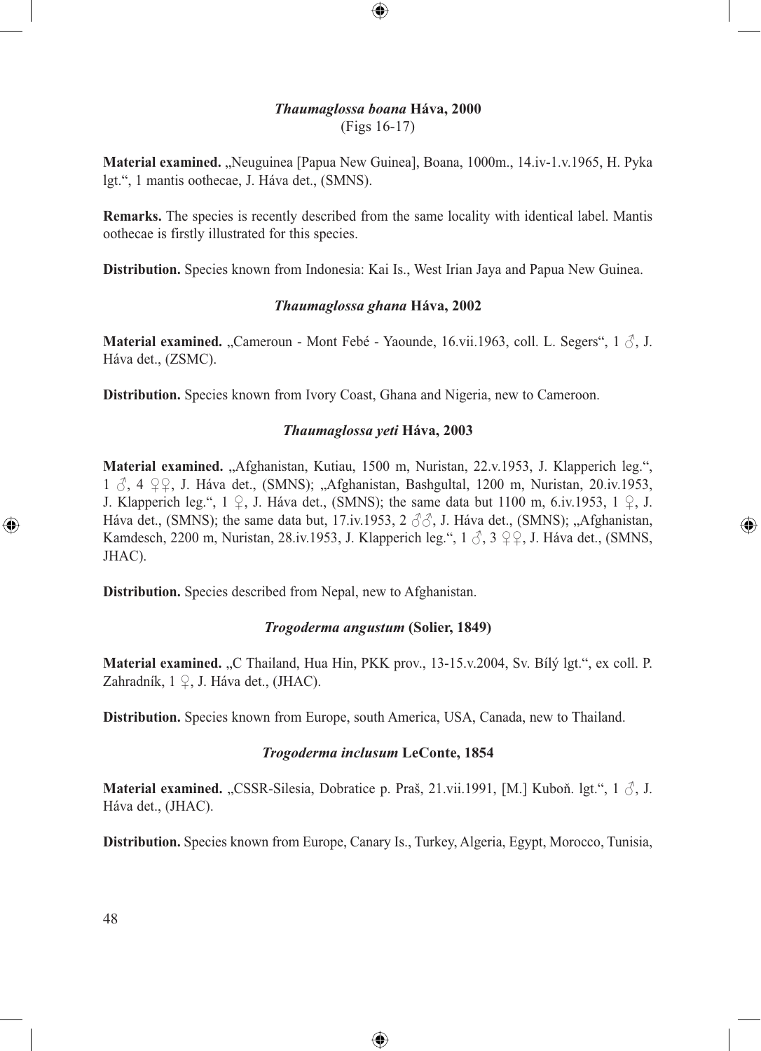## *Thaumaglossa boana* **Háva, 2000** (Figs 16-17)

 $\bigcirc \hspace{-1.4mm} \bigcirc$ 

**Material examined.** "Neuguinea [Papua New Guinea], Boana, 1000m., 14.iv-1.v.1965, H. Pyka lgt.", 1 mantis oothecae, J. Háva det., (SMNS).

**Remarks.** The species is recently described from the same locality with identical label. Mantis oothecae is firstly illustrated for this species.

**Distribution.** Species known from Indonesia: Kai Is., West Irian Jaya and Papua New Guinea.

### *Thaumaglossa ghana* **Háva, 2002**

**Material examined.** "Cameroun - Mont Febé - Yaounde, 16.vii.1963, coll. L. Segers", 1  $\delta$ , J. Háva det., (ZSMC).

**Distribution.** Species known from Ivory Coast, Ghana and Nigeria, new to Cameroon.

### *Thaumaglossa yeti* **Háva, 2003**

**Material examined.** "Afghanistan, Kutiau, 1500 m, Nuristan, 22.v.1953, J. Klapperich leg.", 1 ♂, 4 ♀♀, J. Háva det., (SMNS); "Afghanistan, Bashgultal, 1200 m, Nuristan, 20.iv.1953, J. Klapperich leg.",  $1 \nsubseteq$ , J. Háva det., (SMNS); the same data but 1100 m, 6.iv.1953,  $1 \nsubseteq$ , J. Háva det., (SMNS); the same data but, 17.iv.1953, 2  $\Im$ , J. Háva det., (SMNS); "Afghanistan, Kamdesch, 2200 m, Nuristan, 28.iv.1953, J. Klapperich leg.",  $1 \text{ } \mathcal{S}$ ,  $3 \text{ } \mathcal{Q}$ , J. Háva det., (SMNS, JHAC).

⊕

**Distribution.** Species described from Nepal, new to Afghanistan.

#### *Trogoderma angustum* **(Solier, 1849)**

**Material examined.** "C Thailand, Hua Hin, PKK prov., 13-15.v.2004, Sv. Bílý lgt.", ex coll. P. Zahradník,  $1 \nsubseteq I$ . Háva det., (JHAC).

**Distribution.** Species known from Europe, south America, USA, Canada, new to Thailand.

#### *Trogoderma inclusum* **LeConte, 1854**

**Material examined.** "CSSR-Silesia, Dobratice p. Praš, 21.vii.1991, [M.] Kuboň. lgt.", 1  $\Diamond$ , J. Háva det., (JHAC).

**Distribution.** Species known from Europe, Canary Is., Turkey, Algeria, Egypt, Morocco, Tunisia,

⊕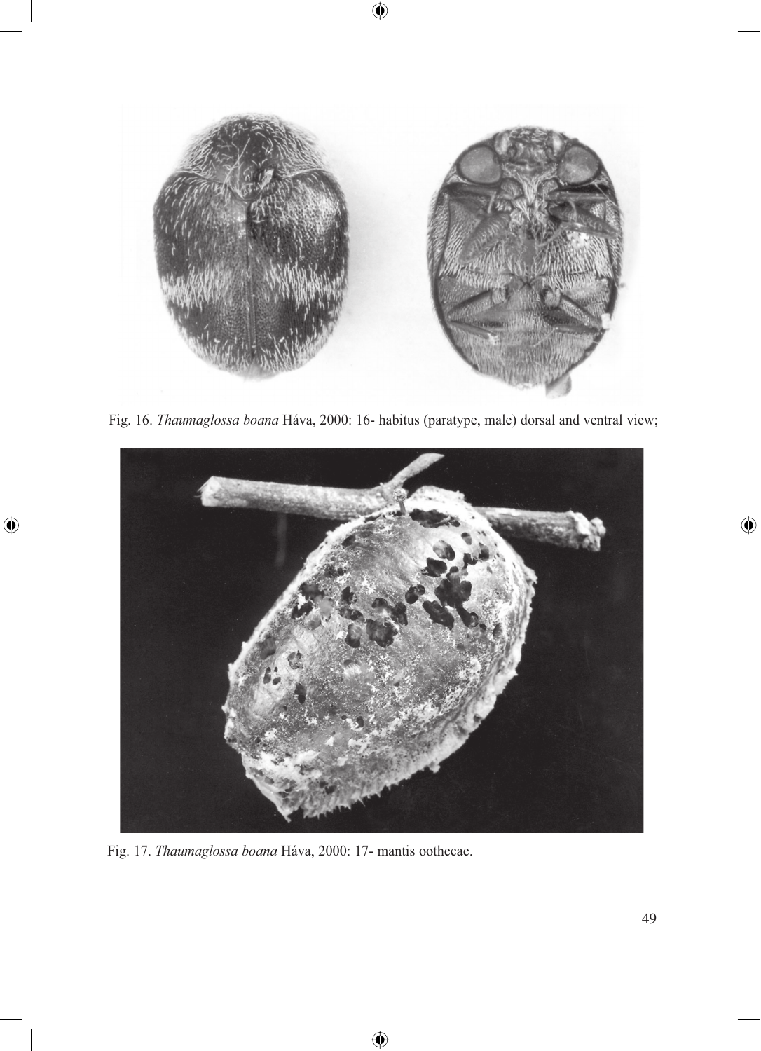

 $\bigcirc$ 

Fig. 16. *Thaumaglossa boana* Háva, 2000: 16- habitus (paratype, male) dorsal and ventral view;



⊕

Fig. 17. *Thaumaglossa boana* Háva, 2000: 17- mantis oothecae.

 $\bigoplus$ 

 $\bigoplus$